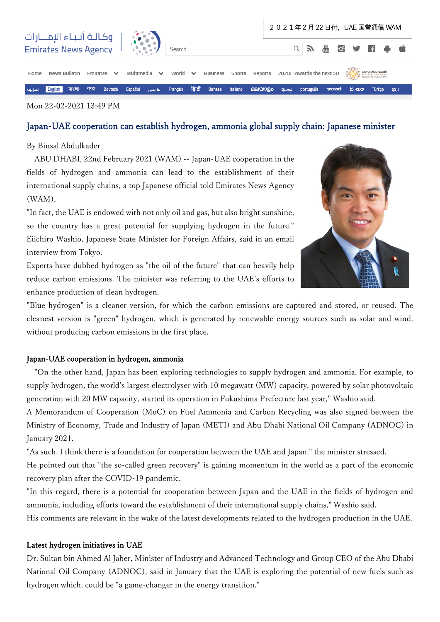

#### Mon 22-02-2021 13:49 PM

# Japan-UAE cooperation can establish hydrogen, ammonia global supply chain: Japanese minister

### By Binsal Abdulkader

 ABU DHABI, 22nd February 2021 (WAM) -- Japan-UAE cooperation in the fields of hydrogen and ammonia can lead to the establishment of their international supply chains, a top Japanese official told Emirates News Agency (WAM).

"In fact, the UAE is endowed with not only oil and gas, but also bright sunshine, so the country has a great potential for supplying hydrogen in the future," Eiichiro Washio, Japanese State Minister for Foreign Affairs, said in an email interview from Tokyo.

Experts have dubbed hydrogen as "the oil of the future" that can heavily help reduce carbon emissions. The minister was referring to the UAE's efforts to enhance production of clean hydrogen.

"Blue hydrogen" is a cleaner version, for which the carbon emissions are captured and stored, or reused. The cleanest version is "green" hydrogen, which is generated by renewable energy sources such as solar and wind, without producing carbon emissions in the first place.

### Japan-UAE cooperation in hydrogen, ammonia

 "On the other hand, Japan has been exploring technologies to supply hydrogen and ammonia. For example, to supply hydrogen, the world's largest electrolyser with 10 megawatt (MW) capacity, powered by solar photovoltaic generation with 20 MW capacity, started its operation in Fukushima Prefecture last year," Washio said.

A Memorandum of Cooperation (MoC) on Fuel Ammonia and Carbon Recycling was also signed between the Ministry of Economy, Trade and Industry of Japan (METI) and Abu Dhabi National Oil Company (ADNOC) in January 2021.

"As such, I think there is a foundation for cooperation between the UAE and Japan," the minister stressed. He pointed out that "the so-called green recovery" is gaining momentum in the world as a part of the economic recovery plan after the COVID-19 pandemic.

"In this regard, there is a potential for cooperation between Japan and the UAE in the fields of hydrogen and ammonia, including efforts toward the establishment of their international supply chains," Washio said. His comments are relevant in the wake of the latest developments related to the hydrogen production in the UAE.

#### Latest hydrogen initiatives in UAE

Dr. Sultan bin Ahmed Al Jaber, Minister of Industry and Advanced Technology and Group CEO of the Abu Dhabi National Oil Company (ADNOC), said in January that the UAE is exploring the potential of new fuels such as hydrogen which, could be "a game-changer in the energy transition."